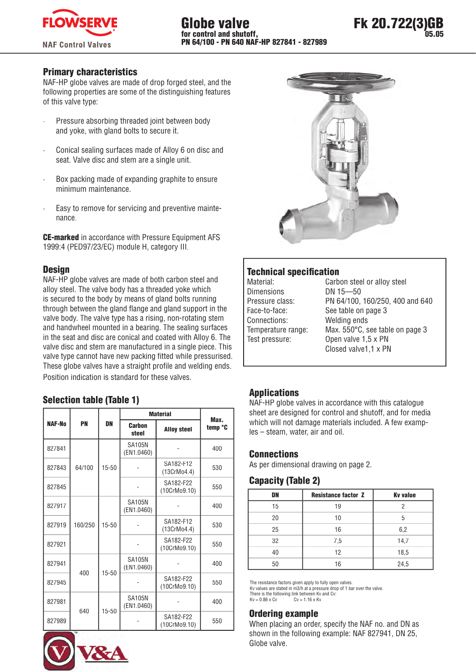

## Primary characteristics

NAF-HP globe valves are made of drop forged steel, and the following properties are some of the distinguishing features of this valve type:

- Pressure absorbing threaded joint between body and yoke, with gland bolts to secure it.
- · Conical sealing surfaces made of Alloy 6 on disc and seat. Valve disc and stem are a single unit.
- Box packing made of expanding graphite to ensure minimum maintenance.
- Easy to remove for servicing and preventive maintenance.

CE-marked in accordance with Pressure Equipment AFS 1999:4 (PED97/23/EC) module H, category III.

## **Design**

NAF-HP globe valves are made of both carbon steel and alloy steel. The valve body has a threaded yoke which is secured to the body by means of gland bolts running through between the gland flange and gland support in the valve body. The valve type has a rising, non-rotating stem and handwheel mounted in a bearing. The sealing surfaces in the seat and disc are conical and coated with Alloy 6. The valve disc and stem are manufactured in a single piece. This valve type cannot have new packing fitted while pressurised. These globe valves have a straight profile and welding ends.

Position indication is standard for these valves.

# Selection table (Table 1)

|        |         |           | <b>Material</b>             | Max.                      |         |  |  |
|--------|---------|-----------|-----------------------------|---------------------------|---------|--|--|
| NAF-No | PN      | <b>DN</b> | Carbon<br>steel             | <b>Alloy steel</b>        | temp °C |  |  |
| 827841 |         |           | <b>SA105N</b><br>(EN1.0460) |                           | 400     |  |  |
| 827843 | 64/100  | 15-50     |                             | SA182-F12<br>(13CrMo4.4)  | 530     |  |  |
| 827845 |         |           |                             | SA182-F22<br>(10CrMo9.10) |         |  |  |
| 827917 |         |           | <b>SA105N</b><br>(EN1.0460) |                           | 400     |  |  |
| 827919 | 160/250 | 15-50     |                             | SA182-F12<br>(13CrMo4.4)  | 530     |  |  |
| 827921 |         |           |                             | SA182-F22<br>(10CrMo9.10) | 550     |  |  |
| 827941 | 400     | $15 - 50$ | <b>SA105N</b><br>(EN1.0460) |                           | 400     |  |  |
| 827945 |         |           |                             | SA182-F22<br>(10CrMo9.10) | 550     |  |  |
| 827981 | 640     | $15 - 50$ | <b>SA105N</b><br>(EN1.0460) |                           | 400     |  |  |
| 827989 |         |           |                             | SA182-F22<br>(10CrMo9.10) | 550     |  |  |







# **Technical specification**

| Material:          |
|--------------------|
| <b>Dimensions</b>  |
| Pressure class:    |
| Face-to-face:      |
| Connections:       |
| Temperature range: |
| Test pressure:     |
|                    |

Carbon steel or alloy steel DN 15-50 PN 64/100, 160/250, 400 and 640 See table on page 3 Welding ends Max. 550°C, see table on page 3 Open valve 1,5 x PN Closed valve1,1 x PN

# Applications

NAF-HP globe valves in accordance with this catalogue sheet are designed for control and shutoff, and for media which will not damage materials included. A few examples – steam, water, air and oil.

## **Connections**

As per dimensional drawing on page 2.

## Capacity (Table 2)

| DN | <b>Resistance factor Z</b> | <b>Ky value</b> |
|----|----------------------------|-----------------|
| 15 | 19                         |                 |
| 20 | 10                         | 5               |
| 25 | 16                         | 6,2             |
| 32 | 7,5                        | 14,7            |
| 40 | 12                         | 18,5            |
| 50 | 16                         | 24,5            |

The resistance factors given apply to fully open valves.

Kv values are stated in m3/h at a pressure drop of 1 bar over the valve. There is the following link between Kv and Cv:<br> $Kv = 0.86 \times Cv$   $Cv = 1.16 \times Kv$  $Kv = 0.86 \times Cv$ 

## Ordering example

When placing an order, specify the NAF no. and DN as shown in the following example: NAF 827941, DN 25, Globe valve.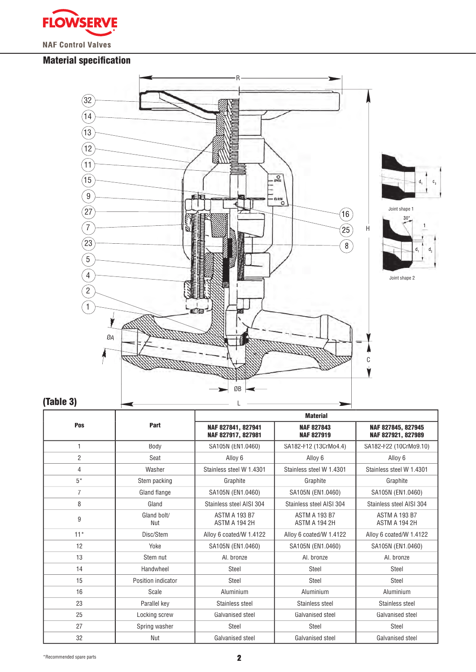

# **Material specification**



# $d_1$   $d_2$



# (Table 3)

|                |                    | <b>Material</b>                          |                                        |                                          |  |  |  |  |  |  |
|----------------|--------------------|------------------------------------------|----------------------------------------|------------------------------------------|--|--|--|--|--|--|
| Pos            | Part               | NAF 827841, 827941<br>NAF 827917, 827981 | <b>NAF 827843</b><br><b>NAF 827919</b> | NAF 827845, 827945<br>NAF 827921, 827989 |  |  |  |  |  |  |
| $\mathbf{1}$   | Body               | SA105N (EN1.0460)                        | SA182-F12 (13CrMo4.4)                  | SA182-F22 (10CrMo9.10)                   |  |  |  |  |  |  |
| $\overline{2}$ | Seat               | Alloy 6                                  | Alloy 6                                | Alloy 6                                  |  |  |  |  |  |  |
| 4              | Washer             | Stainless steel W 1.4301                 | Stainless steel W 1.4301               | Stainless steel W 1.4301                 |  |  |  |  |  |  |
| $5*$           | Stem packing       | Graphite                                 | Graphite                               | Graphite                                 |  |  |  |  |  |  |
| $\overline{7}$ | Gland flange       | SA105N (EN1.0460)                        | SA105N (EN1.0460)                      | SA105N (EN1.0460)                        |  |  |  |  |  |  |
| 8              | Gland              | Stainless steel AISI 304                 | Stainless steel AISI 304               | Stainless steel AISI 304                 |  |  |  |  |  |  |
| 9              | Gland bolt/<br>Nut | <b>ASTM A 193 B7</b><br>ASTM A 194 2H    | <b>ASTM A 193 B7</b><br>ASTM A 194 2H  | <b>ASTM A 193 B7</b><br>ASTM A 194 2H    |  |  |  |  |  |  |
| $11*$          | Disc/Stem          | Alloy 6 coated/W 1.4122                  | Alloy 6 coated/W 1.4122                | Alloy 6 coated/W 1.4122                  |  |  |  |  |  |  |
| 12             | Yoke               | SA105N (EN1.0460)                        | SA105N (EN1.0460)                      | SA105N (EN1.0460)                        |  |  |  |  |  |  |
| 13             | Stem nut           | Al. bronze                               | Al. bronze                             | Al. bronze                               |  |  |  |  |  |  |
| 14             | Handwheel          | Steel                                    | <b>Steel</b>                           | Steel                                    |  |  |  |  |  |  |
| 15             | Position indicator | Steel                                    | Steel                                  | Steel                                    |  |  |  |  |  |  |
| 16             | Scale              | Aluminium                                | Aluminium                              | Aluminium                                |  |  |  |  |  |  |
| 23             | Parallel key       | Stainless steel                          | Stainless steel                        | Stainless steel                          |  |  |  |  |  |  |
| 25             | Locking screw      | Galvanised steel                         | Galvanised steel                       | Galvanised steel                         |  |  |  |  |  |  |
| 27             | Spring washer      | <b>Steel</b>                             | Steel                                  | Steel                                    |  |  |  |  |  |  |
| 32             | Nut                | Galvanised steel                         | Galvanised steel                       | Galvanised steel                         |  |  |  |  |  |  |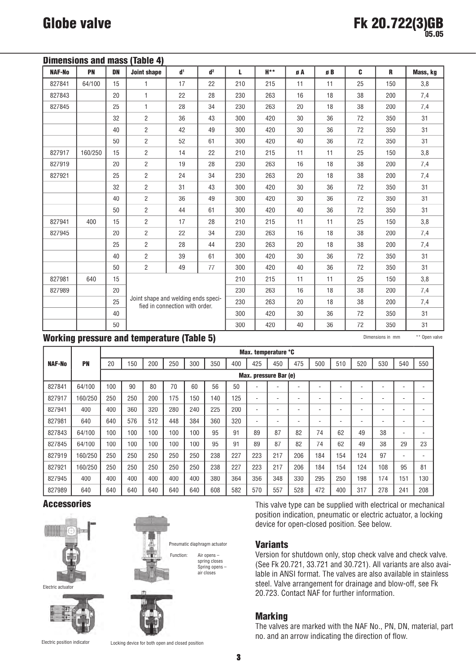| Dimensions and mass (Table 4) |         |           |                                     |                                |                |     |     |    |    |    |     |          |  |
|-------------------------------|---------|-----------|-------------------------------------|--------------------------------|----------------|-----|-----|----|----|----|-----|----------|--|
| <b>NAF-No</b>                 | PN      | <b>DN</b> | <b>Joint shape</b>                  | d <sup>1</sup>                 | d <sup>2</sup> | L   | H** | øA | øB | C  | R   | Mass, kg |  |
| 827841                        | 64/100  | 15        | 1                                   | 17                             | 22             | 210 | 215 | 11 | 11 | 25 | 150 | 3,8      |  |
| 827843                        |         | 20        | 1                                   | 22<br>28                       |                | 230 | 263 | 16 | 18 | 38 | 200 | 7,4      |  |
| 827845                        |         | 25        | 1                                   | 28<br>34                       |                | 230 | 263 | 20 | 18 | 38 | 200 | 7,4      |  |
|                               |         | 32        | $\overline{2}$                      | 36                             | 43             | 300 | 420 | 30 | 36 | 72 | 350 | 31       |  |
|                               |         | 40        | $\overline{2}$                      | 42                             | 49             | 300 | 420 | 30 | 36 | 72 | 350 | 31       |  |
|                               |         | 50        | $\overline{2}$                      | 52                             | 61             | 300 | 420 | 40 |    | 72 | 350 | 31       |  |
| 827917                        | 160/250 | 15        | $\overline{2}$                      | 14                             | 22             | 210 | 215 | 11 | 11 | 25 | 150 | 3,8      |  |
| 827919                        |         | 20        | $\overline{2}$                      | 19                             | 28             | 230 | 263 | 16 | 18 | 38 | 200 | 7,4      |  |
| 827921                        |         | 25        | $\overline{2}$                      | 24                             | 34             | 230 | 263 | 20 | 18 | 38 | 200 | 7,4      |  |
|                               |         | 32        | $\overline{2}$                      | 31                             | 43             | 300 | 420 | 30 | 36 | 72 | 350 | 31       |  |
|                               |         | 40        | $\overline{2}$                      | 36                             | 49             | 300 | 420 | 30 | 36 | 72 | 350 | 31       |  |
|                               |         | 50        | $\overline{2}$                      | 44                             | 61             | 300 | 420 | 40 | 36 | 72 | 350 | 31       |  |
| 827941                        | 400     | 15        | $\overline{2}$                      | 17                             | 28             | 210 | 215 | 11 | 11 | 25 | 150 | 3,8      |  |
| 827945                        |         | 20        | $\overline{2}$                      | 22                             | 34             | 230 | 263 | 16 | 18 | 38 | 200 | 7,4      |  |
|                               |         | 25        | $\overline{2}$                      | 28                             | 44             | 230 | 263 | 20 | 18 | 38 | 200 | 7,4      |  |
|                               |         | 40        | $\overline{2}$                      | 39                             | 61             | 300 | 420 | 30 | 36 | 72 | 350 | 31       |  |
|                               |         | 50        | $\overline{2}$                      | 49                             | 77             | 300 | 420 | 40 | 36 | 72 | 350 | 31       |  |
| 827981                        | 640     | 15        |                                     |                                |                | 210 | 215 | 11 | 11 | 25 | 150 | 3,8      |  |
| 827989                        |         | 20        |                                     |                                |                | 230 | 263 | 16 | 18 | 38 | 200 | 7,4      |  |
|                               |         | 25        | Joint shape and welding ends speci- | fied in connection with order. |                | 230 | 263 | 20 | 18 | 38 | 200 | 7,4      |  |
|                               |         | 40        |                                     |                                |                | 300 | 420 | 30 | 36 | 72 | 350 | 31       |  |
|                               |         | 50        |                                     |                                |                | 300 | 420 | 40 | 36 | 72 | 350 | 31       |  |

## Working pressure and temperature (Table 5) Dimensions in mm and the open valve

|               |           |                       | Max. temperature °C |     |     |     |     |     |     |     |     |     |     |     |     |     |     |
|---------------|-----------|-----------------------|---------------------|-----|-----|-----|-----|-----|-----|-----|-----|-----|-----|-----|-----|-----|-----|
| <b>NAF-No</b> | <b>PN</b> | 20                    | 150                 | 200 | 250 | 300 | 350 | 400 | 425 | 450 | 475 | 500 | 510 | 520 | 530 | 540 | 550 |
|               |           | Max. pressure Bar (e) |                     |     |     |     |     |     |     |     |     |     |     |     |     |     |     |
| 827841        | 64/100    | 100                   | 90                  | 80  | 70  | 60  | 56  | 50  |     |     |     |     |     |     |     |     |     |
| 827917        | 160/250   | 250                   | 250                 | 200 | 175 | 150 | 140 | 125 |     |     |     |     |     |     |     |     |     |
| 827941        | 400       | 400                   | 360                 | 320 | 280 | 240 | 225 | 200 |     |     |     |     |     |     | -   | ۰   |     |
| 827981        | 640       | 640                   | 576                 | 512 | 448 | 384 | 360 | 320 | ۰   |     |     |     | ۰.  |     | -   | ۰   |     |
| 827843        | 64/100    | 100                   | 100                 | 100 | 100 | 100 | 95  | 91  | 89  | 87  | 82  | 74  | 62  | 49  | 38  |     |     |
| 827845        | 64/100    | 100                   | 100                 | 100 | 100 | 100 | 95  | 91  | 89  | 87  | 82  | 74  | 62  | 49  | 38  | 29  | 23  |
| 827919        | 160/250   | 250                   | 250                 | 250 | 250 | 250 | 238 | 227 | 223 | 217 | 206 | 184 | 154 | 124 | 97  | ۰.  |     |
| 827921        | 160/250   | 250                   | 250                 | 250 | 250 | 250 | 238 | 227 | 223 | 217 | 206 | 184 | 154 | 124 | 108 | 95  | 81  |
| 827945        | 400       | 400                   | 400                 | 400 | 400 | 400 | 380 | 364 | 356 | 348 | 330 | 295 | 250 | 198 | 174 | 151 | 130 |
| 827989        | 640       | 640                   | 640                 | 640 | 640 | 640 | 608 | 582 | 570 | 557 | 528 | 472 | 400 | 317 | 278 | 241 | 208 |

## **Accessories**



Electric position indicator

Locking device for both open and closed position

This valve type can be supplied with electrical or mechanical position indication, pneumatic or electric actuator, a locking device for open-closed position. See below.

## **Variants**

Version for shutdown only, stop check valve and check valve. (See Fk 20.721, 33.721 and 30.721). All variants are also available in ANSI format. The valves are also available in stainless steel. Valve arrangement for drainage and blow-off, see Fk 20.723. Contact NAF for further information.

## Marking

The valves are marked with the NAF No., PN, DN, material, part no. and an arrow indicating the direction of flow.